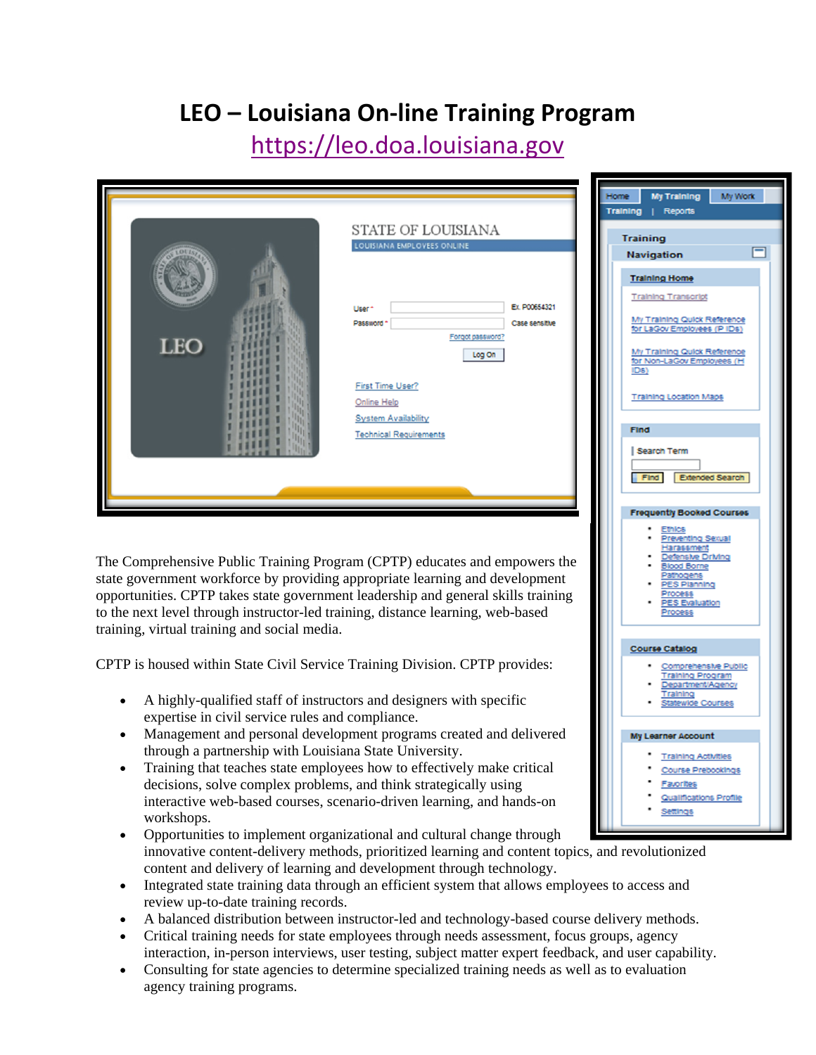## **LEO – Louisiana On‐line Training Program**

## https://leo.doa.louisiana.gov

|                                                                                                                                                                   |                                                  | My Work<br><b>My Training</b>                             |
|-------------------------------------------------------------------------------------------------------------------------------------------------------------------|--------------------------------------------------|-----------------------------------------------------------|
|                                                                                                                                                                   |                                                  | Training<br>Reports                                       |
|                                                                                                                                                                   | STATE OF LOUISIANA                               | <b>Training</b>                                           |
|                                                                                                                                                                   | LOUISIANA EMPLOYEES ONLINE                       | <b>Navigation</b>                                         |
|                                                                                                                                                                   |                                                  | <b>Training Home</b>                                      |
|                                                                                                                                                                   |                                                  | <b>Training Transcript</b>                                |
|                                                                                                                                                                   | Ex. P00654321<br>User                            | My Training Quick Reference                               |
|                                                                                                                                                                   | Password '<br>Case sensitive<br>Forgot password? | for LaGov Employees (PIDs)                                |
| LEO                                                                                                                                                               | Log On                                           | My Training Quick Reference<br>for Non-LaGov Employees (F |
|                                                                                                                                                                   | <b>First Time User?</b>                          | IDS)                                                      |
|                                                                                                                                                                   | <b>Online Help</b>                               | <b>Training Location Maps</b>                             |
|                                                                                                                                                                   | <b>System Availability</b>                       |                                                           |
|                                                                                                                                                                   | <b>Technical Requirements</b>                    | <b>Find</b>                                               |
|                                                                                                                                                                   |                                                  | Search Term                                               |
|                                                                                                                                                                   |                                                  | Extended Search<br>Find                                   |
|                                                                                                                                                                   |                                                  | <b>Frequently Booked Courses</b>                          |
| The Comprehensive Public Training Program (CPTP) educates and empowers the                                                                                        |                                                  | eventing Sexua                                            |
| state government workforce by providing appropriate learning and development<br>opportunities. CPTP takes state government leadership and general skills training |                                                  |                                                           |
| to the next level through instructor-led training, distance learning, web-based                                                                                   |                                                  |                                                           |
| training, virtual training and social media.                                                                                                                      |                                                  |                                                           |
|                                                                                                                                                                   |                                                  | <b>Course Catalog</b>                                     |
| CPTP is housed within State Civil Service Training Division. CPTP provides:                                                                                       |                                                  | omprehensive Public<br>raining Program                    |
| A highly-qualified staff of instructors and designers with specific                                                                                               |                                                  | partment/Age<br>raining                                   |
| expertise in civil service rules and compliance.                                                                                                                  |                                                  |                                                           |
| Management and personal development programs created and delivered<br>$\bullet$                                                                                   |                                                  | <b>My Learner Account</b>                                 |
| through a partnership with Louisiana State University.                                                                                                            | <b>Training Activities</b>                       |                                                           |
| Training that teaches state employees how to effectively make critical<br>decisions, solve complex problems, and think strategically using                        | Course Prebookings<br><u>Favorites</u>           |                                                           |
| interactive web-based courses, scenario-driven learning, and hands-on                                                                                             | Qualifications Profile                           |                                                           |
| workshops.                                                                                                                                                        | Settings                                         |                                                           |

- and the Opportunities to implement organizational and cultural change through innovative content-delivery methods, prioritized learning and content topics, and revolutionized content and delivery of learning and development through technology.
- Integrated state training data through an efficient system that allows employees to access and review up-to-date training records.
- A balanced distribution between instructor-led and technology-based course delivery methods.
- Critical training needs for state employees through needs assessment, focus groups, agency interaction, in-person interviews, user testing, subject matter expert feedback, and user capability.
- Consulting for state agencies to determine specialized training needs as well as to evaluation agency training programs.